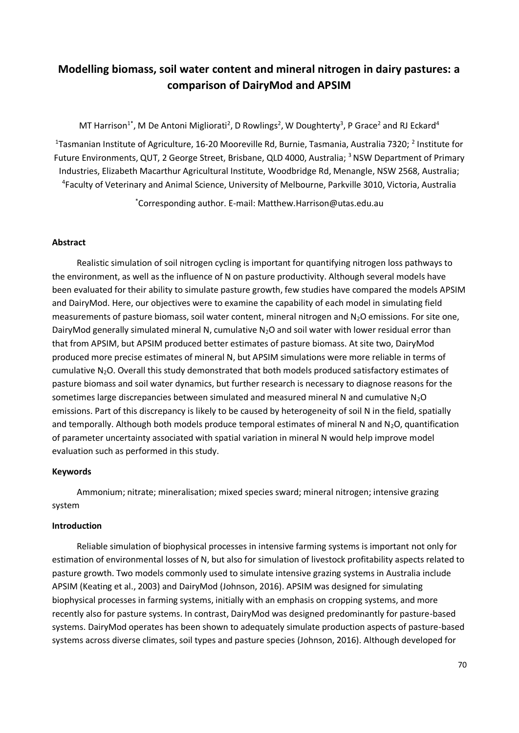# **Modelling biomass, soil water content and mineral nitrogen in dairy pastures: a comparison of DairyMod and APSIM**

MT Harrison<sup>1\*</sup>, M De Antoni Migliorati<sup>2</sup>, D Rowlings<sup>2</sup>, W Doughterty<sup>3</sup>, P Grace<sup>2</sup> and RJ Eckard<sup>4</sup>

<sup>1</sup>Tasmanian Institute of Agriculture, 16-20 Mooreville Rd, Burnie, Tasmania, Australia 7320; <sup>2</sup> Institute for Future Environments, QUT, 2 George Street, Brisbane, QLD 4000, Australia; <sup>3</sup> NSW Department of Primary Industries, Elizabeth Macarthur Agricultural Institute, Woodbridge Rd, Menangle, NSW 2568, Australia; 4 Faculty of Veterinary and Animal Science, University of Melbourne, Parkville 3010, Victoria, Australia

\*Corresponding author. E-mail: Matthew.Harrison@utas.edu.au

## **Abstract**

Realistic simulation of soil nitrogen cycling is important for quantifying nitrogen loss pathways to the environment, as well as the influence of N on pasture productivity. Although several models have been evaluated for their ability to simulate pasture growth, few studies have compared the models APSIM and DairyMod. Here, our objectives were to examine the capability of each model in simulating field measurements of pasture biomass, soil water content, mineral nitrogen and  $N_2O$  emissions. For site one, DairyMod generally simulated mineral N, cumulative  $N_2O$  and soil water with lower residual error than that from APSIM, but APSIM produced better estimates of pasture biomass. At site two, DairyMod produced more precise estimates of mineral N, but APSIM simulations were more reliable in terms of cumulative N<sub>2</sub>O. Overall this study demonstrated that both models produced satisfactory estimates of pasture biomass and soil water dynamics, but further research is necessary to diagnose reasons for the sometimes large discrepancies between simulated and measured mineral N and cumulative  $N_2O$ emissions. Part of this discrepancy is likely to be caused by heterogeneity of soil N in the field, spatially and temporally. Although both models produce temporal estimates of mineral N and  $N_2O$ , quantification of parameter uncertainty associated with spatial variation in mineral N would help improve model evaluation such as performed in this study.

### **Keywords**

Ammonium; nitrate; mineralisation; mixed species sward; mineral nitrogen; intensive grazing system

### **Introduction**

Reliable simulation of biophysical processes in intensive farming systems is important not only for estimation of environmental losses of N, but also for simulation of livestock profitability aspects related to pasture growth. Two models commonly used to simulate intensive grazing systems in Australia include APSIM (Keating et al., 2003) and DairyMod (Johnson, 2016). APSIM was designed for simulating biophysical processes in farming systems, initially with an emphasis on cropping systems, and more recently also for pasture systems. In contrast, DairyMod was designed predominantly for pasture-based systems. DairyMod operates has been shown to adequately simulate production aspects of pasture-based systems across diverse climates, soil types and pasture species (Johnson, 2016). Although developed for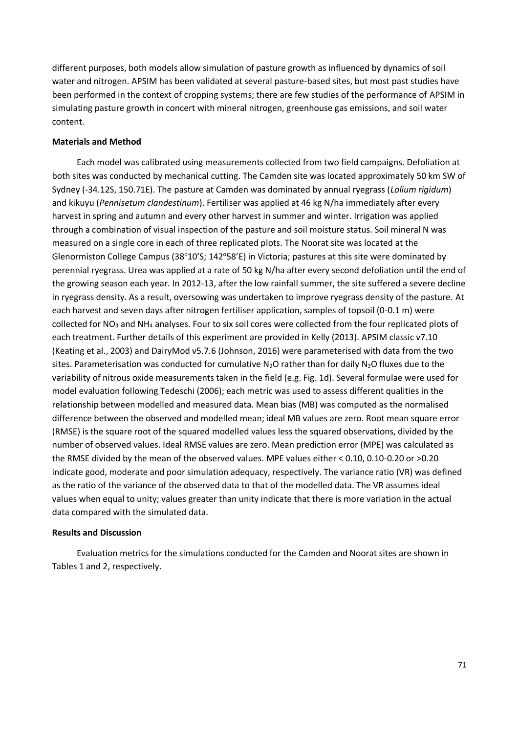different purposes, both models allow simulation of pasture growth as influenced by dynamics of soil water and nitrogen. APSIM has been validated at several pasture-based sites, but most past studies have been performed in the context of cropping systems; there are few studies of the performance of APSIM in simulating pasture growth in concert with mineral nitrogen, greenhouse gas emissions, and soil water content.

### **Materials and Method**

Each model was calibrated using measurements collected from two field campaigns. Defoliation at both sites was conducted by mechanical cutting. The Camden site was located approximately 50 km SW of Sydney (-34.12S, 150.71E). The pasture at Camden was dominated by annual ryegrass (*Lolium rigidum*) and kikuyu (*Pennisetum clandestinum*). Fertiliser was applied at 46 kg N/ha immediately after every harvest in spring and autumn and every other harvest in summer and winter. Irrigation was applied through a combination of visual inspection of the pasture and soil moisture status. Soil mineral N was measured on a single core in each of three replicated plots. The Noorat site was located at the Glenormiston College Campus (38°10'S; 142°58'E) in Victoria; pastures at this site were dominated by perennial ryegrass. Urea was applied at a rate of 50 kg N/ha after every second defoliation until the end of the growing season each year. In 2012-13, after the low rainfall summer, the site suffered a severe decline in ryegrass density. As a result, oversowing was undertaken to improve ryegrass density of the pasture. At each harvest and seven days after nitrogen fertiliser application, samples of topsoil (0-0.1 m) were collected for NO<sub>3</sub> and NH<sub>4</sub> analyses. Four to six soil cores were collected from the four replicated plots of each treatment. Further details of this experiment are provided in Kelly (2013). APSIM classic v7.10 (Keating et al., 2003) and DairyMod v5.7.6 (Johnson, 2016) were parameterised with data from the two sites. Parameterisation was conducted for cumulative  $N_2O$  rather than for daily  $N_2O$  fluxes due to the variability of nitrous oxide measurements taken in the field (e.g. Fig. 1d). Several formulae were used for model evaluation following Tedeschi (2006); each metric was used to assess different qualities in the relationship between modelled and measured data. Mean bias (MB) was computed as the normalised difference between the observed and modelled mean; ideal MB values are zero. Root mean square error (RMSE) is the square root of the squared modelled values less the squared observations, divided by the number of observed values. Ideal RMSE values are zero. Mean prediction error (MPE) was calculated as the RMSE divided by the mean of the observed values. MPE values either < 0.10, 0.10-0.20 or >0.20 indicate good, moderate and poor simulation adequacy, respectively. The variance ratio (VR) was defined as the ratio of the variance of the observed data to that of the modelled data. The VR assumes ideal values when equal to unity; values greater than unity indicate that there is more variation in the actual data compared with the simulated data.

#### **Results and Discussion**

Evaluation metrics for the simulations conducted for the Camden and Noorat sites are shown in Tables 1 and 2, respectively.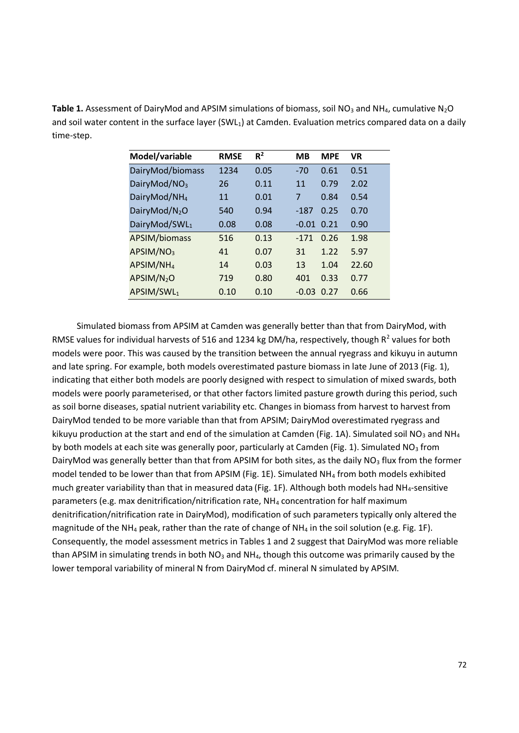Table 1. Assessment of DairyMod and APSIM simulations of biomass, soil NO<sub>3</sub> and NH<sub>4</sub>, cumulative N<sub>2</sub>O and soil water content in the surface layer (SWL<sub>1</sub>) at Camden. Evaluation metrics compared data on a daily time-step.

| Model/variable           | <b>RMSE</b> | $R^2$ | <b>MB</b> | <b>MPE</b> | <b>VR</b> |
|--------------------------|-------------|-------|-----------|------------|-----------|
| DairyMod/biomass         | 1234        | 0.05  | $-70$     | 0.61       | 0.51      |
| DairyMod/NO <sub>3</sub> | 26          | 0.11  | 11        | 0.79       | 2.02      |
| DairyMod/NH <sub>4</sub> | 11          | 0.01  | 7         | 0.84       | 0.54      |
| DairyMod/ $N_2O$         | 540         | 0.94  | $-187$    | 0.25       | 0.70      |
| DairyMod/SWL1            | 0.08        | 0.08  | $-0.01$   | 0.21       | 0.90      |
| APSIM/biomass            | 516         | 0.13  | $-171$    | 0.26       | 1.98      |
| APSIM/NO <sub>3</sub>    | 41          | 0.07  | 31        | 1.22       | 5.97      |
| APSIM/NH <sub>4</sub>    | 14          | 0.03  | 13        | 1.04       | 22.60     |
| APSIM/N <sub>2</sub> O   | 719         | 0.80  | 401       | 0.33       | 0.77      |
| APSIM/SWL1               | 0.10        | 0.10  | $-0.03$   | 0.27       | 0.66      |

Simulated biomass from APSIM at Camden was generally better than that from DairyMod, with RMSE values for individual harvests of 516 and 1234 kg DM/ha, respectively, though  $R^2$  values for both models were poor. This was caused by the transition between the annual ryegrass and kikuyu in autumn and late spring. For example, both models overestimated pasture biomass in late June of 2013 (Fig. 1), indicating that either both models are poorly designed with respect to simulation of mixed swards, both models were poorly parameterised, or that other factors limited pasture growth during this period, such as soil borne diseases, spatial nutrient variability etc. Changes in biomass from harvest to harvest from DairyMod tended to be more variable than that from APSIM; DairyMod overestimated ryegrass and kikuyu production at the start and end of the simulation at Camden (Fig. 1A). Simulated soil NO<sub>3</sub> and NH<sub>4</sub> by both models at each site was generally poor, particularly at Camden (Fig. 1). Simulated NO<sub>3</sub> from DairyMod was generally better than that from APSIM for both sites, as the daily  $NO<sub>3</sub>$  flux from the former model tended to be lower than that from APSIM (Fig. 1E). Simulated NH<sup>4</sup> from both models exhibited much greater variability than that in measured data (Fig. 1F). Although both models had NH4-sensitive parameters (e.g. max denitrification/nitrification rate, NH<sup>4</sup> concentration for half maximum denitrification/nitrification rate in DairyMod), modification of such parameters typically only altered the magnitude of the NH<sub>4</sub> peak, rather than the rate of change of NH<sub>4</sub> in the soil solution (e.g. Fig. 1F). Consequently, the model assessment metrics in Tables 1 and 2 suggest that DairyMod was more reliable than APSIM in simulating trends in both  $NO<sub>3</sub>$  and  $NH<sub>4</sub>$ , though this outcome was primarily caused by the lower temporal variability of mineral N from DairyMod cf. mineral N simulated by APSIM.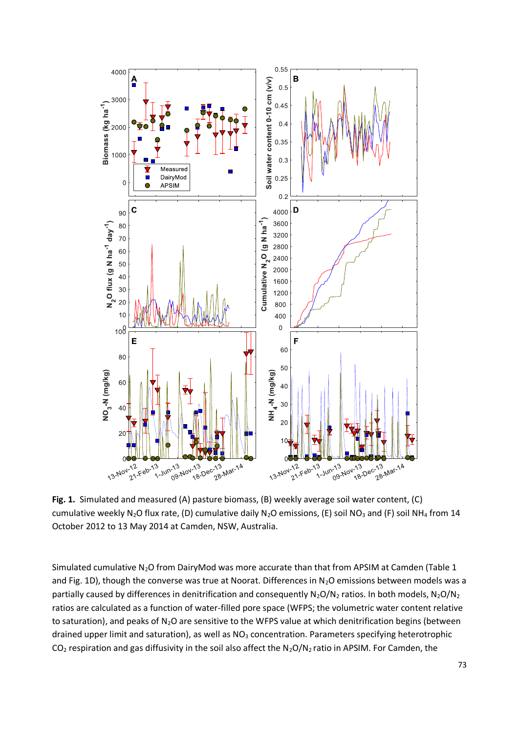

**Fig. 1.** Simulated and measured (A) pasture biomass, (B) weekly average soil water content, (C) cumulative weekly N<sub>2</sub>O flux rate, (D) cumulative daily N<sub>2</sub>O emissions, (E) soil NO<sub>3</sub> and (F) soil NH<sub>4</sub> from 14 October 2012 to 13 May 2014 at Camden, NSW, Australia.

Simulated cumulative N<sub>2</sub>O from DairyMod was more accurate than that from APSIM at Camden (Table 1 and Fig. 1D), though the converse was true at Noorat. Differences in  $N_2O$  emissions between models was a partially caused by differences in denitrification and consequently  $N_2O/N_2$  ratios. In both models,  $N_2O/N_2$ ratios are calculated as a function of water-filled pore space (WFPS; the volumetric water content relative to saturation), and peaks of  $N_2O$  are sensitive to the WFPS value at which denitrification begins (between drained upper limit and saturation), as well as  $NO<sub>3</sub>$  concentration. Parameters specifying heterotrophic  $CO<sub>2</sub>$  respiration and gas diffusivity in the soil also affect the N<sub>2</sub>O/N<sub>2</sub> ratio in APSIM. For Camden, the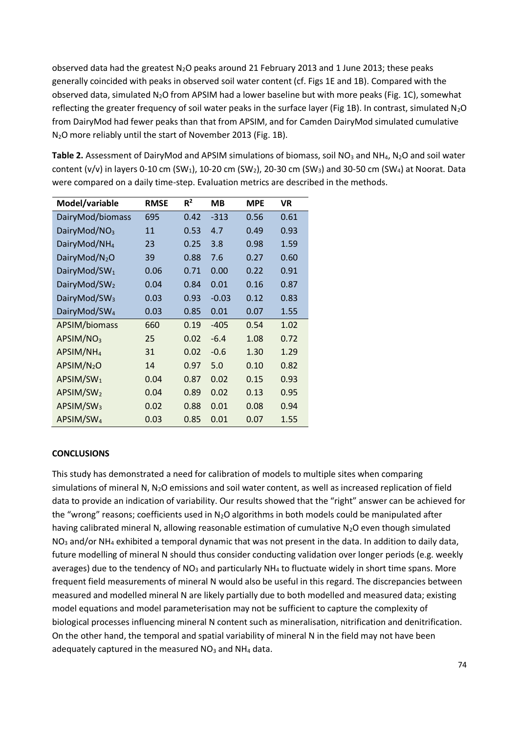observed data had the greatest  $N_2O$  peaks around 21 February 2013 and 1 June 2013; these peaks generally coincided with peaks in observed soil water content (cf. Figs 1E and 1B). Compared with the observed data, simulated N<sub>2</sub>O from APSIM had a lower baseline but with more peaks (Fig. 1C), somewhat reflecting the greater frequency of soil water peaks in the surface layer (Fig 1B). In contrast, simulated  $N_2O$ from DairyMod had fewer peaks than that from APSIM, and for Camden DairyMod simulated cumulative N2O more reliably until the start of November 2013 (Fig. 1B).

**Table 2.** Assessment of DairyMod and APSIM simulations of biomass, soil NO<sub>3</sub> and NH<sub>4</sub>, N<sub>2</sub>O and soil water content (v/v) in layers 0-10 cm (SW<sub>1</sub>), 10-20 cm (SW<sub>2</sub>), 20-30 cm (SW<sub>3</sub>) and 30-50 cm (SW<sub>4</sub>) at Noorat. Data were compared on a daily time-step. Evaluation metrics are described in the methods.

| Model/variable           | <b>RMSE</b> | $R^2$ | MВ      | <b>MPE</b> | VR.  |
|--------------------------|-------------|-------|---------|------------|------|
| DairyMod/biomass         | 695         | 0.42  | $-313$  | 0.56       | 0.61 |
| DairyMod/NO <sub>3</sub> | 11          | 0.53  | 4.7     | 0.49       | 0.93 |
| DairyMod/NH <sub>4</sub> | 23          | 0.25  | 3.8     | 0.98       | 1.59 |
| DairyMod/ $N_2O$         | 39          | 0.88  | 7.6     | 0.27       | 0.60 |
| DairyMod/SW <sub>1</sub> | 0.06        | 0.71  | 0.00    | 0.22       | 0.91 |
| DairyMod/SW <sub>2</sub> | 0.04        | 0.84  | 0.01    | 0.16       | 0.87 |
| DairyMod/SW <sub>3</sub> | 0.03        | 0.93  | $-0.03$ | 0.12       | 0.83 |
| DairyMod/SW <sub>4</sub> | 0.03        | 0.85  | 0.01    | 0.07       | 1.55 |
| APSIM/biomass            | 660         | 0.19  | -405    | 0.54       | 1.02 |
| APSIM/NO <sub>3</sub>    | 25          | 0.02  | $-6.4$  | 1.08       | 0.72 |
| APSIM/NH <sub>4</sub>    | 31          | 0.02  | $-0.6$  | 1.30       | 1.29 |
| APSIM/N <sub>2</sub> O   | 14          | 0.97  | 5.0     | 0.10       | 0.82 |
| APSIM/SW <sub>1</sub>    | 0.04        | 0.87  | 0.02    | 0.15       | 0.93 |
| APSIM/SW <sub>2</sub>    | 0.04        | 0.89  | 0.02    | 0.13       | 0.95 |
| APSIM/SW <sub>3</sub>    | 0.02        | 0.88  | 0.01    | 0.08       | 0.94 |
| APSIM/SW <sub>4</sub>    | 0.03        | 0.85  | 0.01    | 0.07       | 1.55 |

# **CONCLUSIONS**

This study has demonstrated a need for calibration of models to multiple sites when comparing simulations of mineral N, N<sub>2</sub>O emissions and soil water content, as well as increased replication of field data to provide an indication of variability. Our results showed that the "right" answer can be achieved for the "wrong" reasons; coefficients used in  $N_2O$  algorithms in both models could be manipulated after having calibrated mineral N, allowing reasonable estimation of cumulative N<sub>2</sub>O even though simulated  $NO<sub>3</sub>$  and/or NH<sub>4</sub> exhibited a temporal dynamic that was not present in the data. In addition to daily data, future modelling of mineral N should thus consider conducting validation over longer periods (e.g. weekly averages) due to the tendency of NO<sub>3</sub> and particularly  $NH<sub>4</sub>$  to fluctuate widely in short time spans. More frequent field measurements of mineral N would also be useful in this regard. The discrepancies between measured and modelled mineral N are likely partially due to both modelled and measured data; existing model equations and model parameterisation may not be sufficient to capture the complexity of biological processes influencing mineral N content such as mineralisation, nitrification and denitrification. On the other hand, the temporal and spatial variability of mineral N in the field may not have been adequately captured in the measured  $NO<sub>3</sub>$  and  $NH<sub>4</sub>$  data.